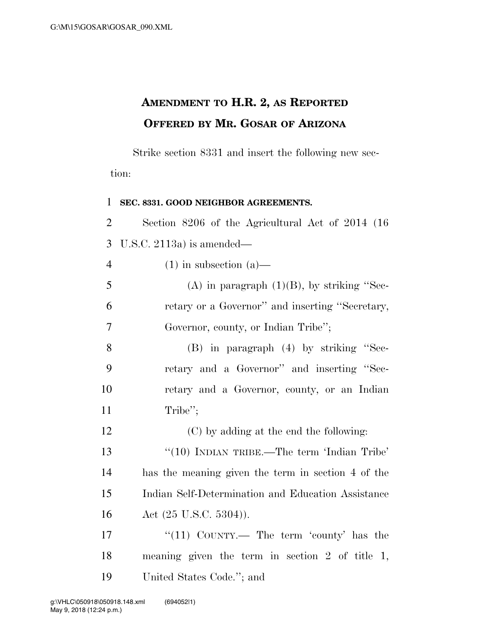## **AMENDMENT TO H.R. 2, AS REPORTED OFFERED BY MR. GOSAR OF ARIZONA**

Strike section 8331 and insert the following new section:

| SEC. 8331. GOOD NEIGHBOR AGREEMENTS.               |
|----------------------------------------------------|
| Section 8206 of the Agricultural Act of 2014 (16)  |
| U.S.C. 2113a) is amended—                          |
| $(1)$ in subsection $(a)$ —                        |
| (A) in paragraph $(1)(B)$ , by striking "Sec-      |
| retary or a Governor" and inserting "Secretary,    |
| Governor, county, or Indian Tribe";                |
| $(B)$ in paragraph $(4)$ by striking "Sec-         |
| retary and a Governor" and inserting "Sec-         |
| retary and a Governor, county, or an Indian        |
| Tribe";                                            |
| (C) by adding at the end the following:            |
| " $(10)$ INDIAN TRIBE.—The term 'Indian Tribe'     |
| has the meaning given the term in section 4 of the |
| Indian Self-Determination and Education Assistance |
| Act $(25 \text{ U.S.C. } 5304)$ ).                 |
| " $(11)$ COUNTY.— The term 'county' has the        |
| meaning given the term in section $2$ of title 1,  |
|                                                    |

United States Code.''; and